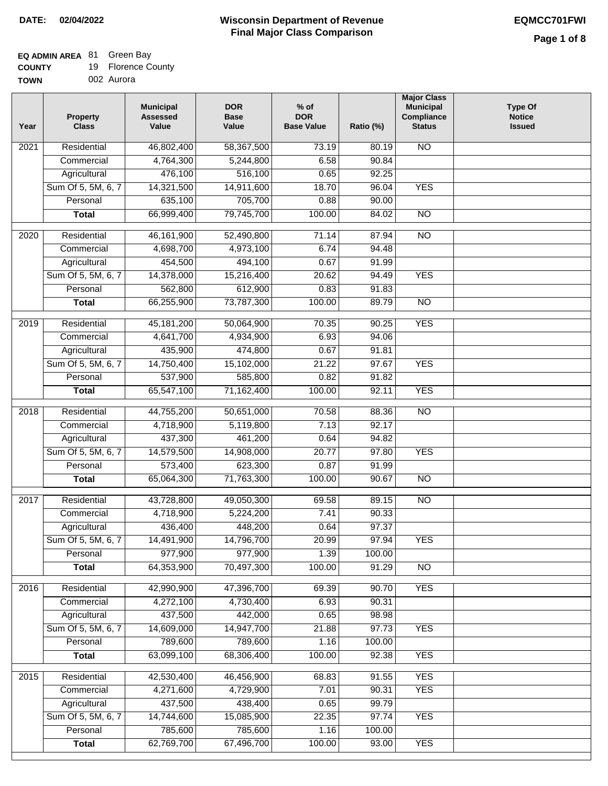# **EQ ADMIN AREA** 81 Green Bay

**COUNTY** 19 Florence County

**TOWN** 002 Aurora

| Year              | <b>Property</b><br><b>Class</b> | <b>Municipal</b><br><b>Assessed</b><br>Value | <b>DOR</b><br><b>Base</b><br>Value | $%$ of<br><b>DOR</b><br><b>Base Value</b> | Ratio (%) | <b>Major Class</b><br><b>Municipal</b><br>Compliance<br><b>Status</b> | <b>Type Of</b><br><b>Notice</b><br><b>Issued</b> |
|-------------------|---------------------------------|----------------------------------------------|------------------------------------|-------------------------------------------|-----------|-----------------------------------------------------------------------|--------------------------------------------------|
| 2021              | Residential                     | 46,802,400                                   | 58,367,500                         | 73.19                                     | 80.19     | <b>NO</b>                                                             |                                                  |
|                   | Commercial                      | 4,764,300                                    | 5,244,800                          | 6.58                                      | 90.84     |                                                                       |                                                  |
|                   | Agricultural                    | 476,100                                      | 516,100                            | 0.65                                      | 92.25     |                                                                       |                                                  |
|                   | Sum Of 5, 5M, 6, 7              | 14,321,500                                   | 14,911,600                         | 18.70                                     | 96.04     | <b>YES</b>                                                            |                                                  |
|                   | Personal                        | 635,100                                      | 705,700                            | 0.88                                      | 90.00     |                                                                       |                                                  |
|                   | <b>Total</b>                    | 66,999,400                                   | 79,745,700                         | 100.00                                    | 84.02     | <b>NO</b>                                                             |                                                  |
| 2020              | Residential                     | 46,161,900                                   | 52,490,800                         | 71.14                                     | 87.94     | $\overline{NO}$                                                       |                                                  |
|                   | Commercial                      | 4,698,700                                    | 4,973,100                          | 6.74                                      | 94.48     |                                                                       |                                                  |
|                   | Agricultural                    | 454,500                                      | 494,100                            | 0.67                                      | 91.99     |                                                                       |                                                  |
|                   | Sum Of 5, 5M, 6, 7              | 14,378,000                                   | 15,216,400                         | 20.62                                     | 94.49     | <b>YES</b>                                                            |                                                  |
|                   | Personal                        | 562,800                                      | 612,900                            | 0.83                                      | 91.83     |                                                                       |                                                  |
|                   | <b>Total</b>                    | 66,255,900                                   | 73,787,300                         | 100.00                                    | 89.79     | $\overline{NO}$                                                       |                                                  |
| 2019              | Residential                     | 45, 181, 200                                 | 50,064,900                         | 70.35                                     | 90.25     | <b>YES</b>                                                            |                                                  |
|                   | Commercial                      | 4,641,700                                    | 4,934,900                          | 6.93                                      | 94.06     |                                                                       |                                                  |
|                   | Agricultural                    | 435,900                                      | 474,800                            | 0.67                                      | 91.81     |                                                                       |                                                  |
|                   | Sum Of 5, 5M, 6, 7              | 14,750,400                                   | 15,102,000                         | 21.22                                     | 97.67     | <b>YES</b>                                                            |                                                  |
|                   | Personal                        | 537,900                                      | 585,800                            | 0.82                                      | 91.82     |                                                                       |                                                  |
|                   | <b>Total</b>                    | 65,547,100                                   | 71,162,400                         | 100.00                                    | 92.11     | <b>YES</b>                                                            |                                                  |
| 2018              | Residential                     | 44,755,200                                   | 50,651,000                         | 70.58                                     | 88.36     | N <sub>O</sub>                                                        |                                                  |
|                   | Commercial                      | 4,718,900                                    | 5,119,800                          | 7.13                                      | 92.17     |                                                                       |                                                  |
|                   | Agricultural                    | 437,300                                      | 461,200                            | 0.64                                      | 94.82     |                                                                       |                                                  |
|                   | Sum Of 5, 5M, 6, 7              | 14,579,500                                   | 14,908,000                         | 20.77                                     | 97.80     | <b>YES</b>                                                            |                                                  |
|                   | Personal                        | 573,400                                      | 623,300                            | 0.87                                      | 91.99     |                                                                       |                                                  |
|                   | <b>Total</b>                    | 65,064,300                                   | 71,763,300                         | 100.00                                    | 90.67     | <b>NO</b>                                                             |                                                  |
| $\overline{20}17$ | Residential                     | 43,728,800                                   | 49,050,300                         | 69.58                                     | 89.15     | $\overline{NO}$                                                       |                                                  |
|                   | Commercial                      | 4,718,900                                    | 5,224,200                          | 7.41                                      | 90.33     |                                                                       |                                                  |
|                   | Agricultural                    | 436,400                                      | 448,200                            | 0.64                                      | 97.37     |                                                                       |                                                  |
|                   | Sum Of 5, 5M, 6, 7              | 14,491,900                                   | 14,796,700                         | 20.99                                     | 97.94     | <b>YES</b>                                                            |                                                  |
|                   | Personal                        | 977,900                                      | 977,900                            | 1.39                                      | 100.00    |                                                                       |                                                  |
|                   | <b>Total</b>                    | 64,353,900                                   | 70,497,300                         | 100.00                                    | 91.29     | <b>NO</b>                                                             |                                                  |
| 2016              | Residential                     | 42,990,900                                   | 47,396,700                         | 69.39                                     | 90.70     | <b>YES</b>                                                            |                                                  |
|                   | Commercial                      | 4,272,100                                    | 4,730,400                          | 6.93                                      | 90.31     |                                                                       |                                                  |
|                   | Agricultural                    | 437,500                                      | 442,000                            | 0.65                                      | 98.98     |                                                                       |                                                  |
|                   | Sum Of 5, 5M, 6, 7              | 14,609,000                                   | 14,947,700                         | 21.88                                     | 97.73     | <b>YES</b>                                                            |                                                  |
|                   | Personal                        | 789,600                                      | 789,600                            | 1.16                                      | 100.00    |                                                                       |                                                  |
|                   | <b>Total</b>                    | 63,099,100                                   | 68,306,400                         | 100.00                                    | 92.38     | <b>YES</b>                                                            |                                                  |
| 2015              | Residential                     | 42,530,400                                   | 46,456,900                         | 68.83                                     | 91.55     | <b>YES</b>                                                            |                                                  |
|                   | Commercial                      | 4,271,600                                    | 4,729,900                          | 7.01                                      | 90.31     | <b>YES</b>                                                            |                                                  |
|                   | Agricultural                    | 437,500                                      | 438,400                            | 0.65                                      | 99.79     |                                                                       |                                                  |
|                   | Sum Of 5, 5M, 6, 7              | 14,744,600                                   | 15,085,900                         | 22.35                                     | 97.74     | <b>YES</b>                                                            |                                                  |
|                   | Personal                        | 785,600                                      | 785,600                            | 1.16                                      | 100.00    |                                                                       |                                                  |
|                   | <b>Total</b>                    | 62,769,700                                   | 67,496,700                         | 100.00                                    | 93.00     | <b>YES</b>                                                            |                                                  |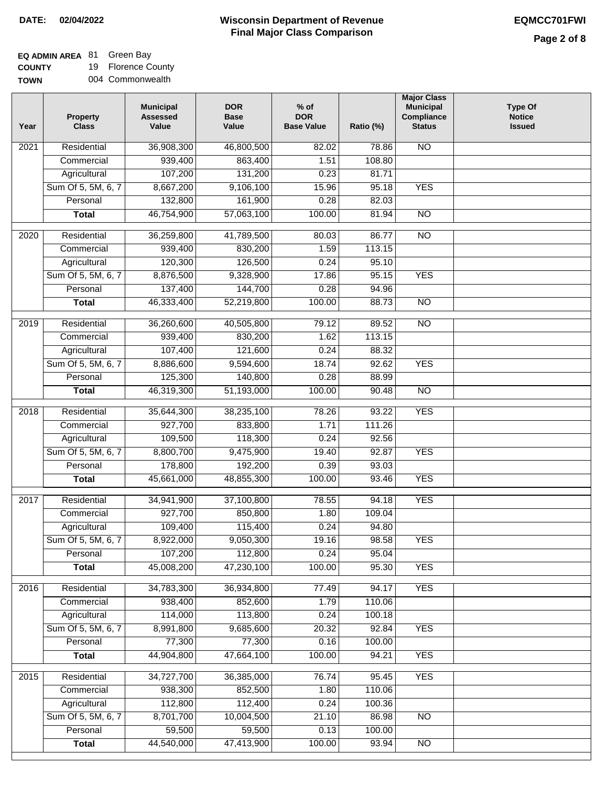**EQ ADMIN AREA** 81 Green Bay

**COUNTY TOWN** 19 Florence County 004 Commonwealth

| Year              | <b>Property</b><br><b>Class</b> | <b>Municipal</b><br><b>Assessed</b><br>Value | <b>DOR</b><br><b>Base</b><br>Value | $%$ of<br><b>DOR</b><br><b>Base Value</b> | Ratio (%) | <b>Major Class</b><br><b>Municipal</b><br>Compliance<br><b>Status</b> | Type Of<br><b>Notice</b><br><b>Issued</b> |
|-------------------|---------------------------------|----------------------------------------------|------------------------------------|-------------------------------------------|-----------|-----------------------------------------------------------------------|-------------------------------------------|
| 2021              | Residential                     | 36,908,300                                   | 46,800,500                         | 82.02                                     | 78.86     | <b>NO</b>                                                             |                                           |
|                   | Commercial                      | 939,400                                      | 863,400                            | 1.51                                      | 108.80    |                                                                       |                                           |
|                   | Agricultural                    | 107,200                                      | 131,200                            | 0.23                                      | 81.71     |                                                                       |                                           |
|                   | Sum Of 5, 5M, 6, 7              | 8,667,200                                    | 9,106,100                          | 15.96                                     | 95.18     | <b>YES</b>                                                            |                                           |
|                   | Personal                        | 132,800                                      | 161,900                            | 0.28                                      | 82.03     |                                                                       |                                           |
|                   | <b>Total</b>                    | 46,754,900                                   | 57,063,100                         | 100.00                                    | 81.94     | $\overline{NO}$                                                       |                                           |
| 2020              | Residential                     | 36,259,800                                   | 41,789,500                         | 80.03                                     | 86.77     | $\overline{NO}$                                                       |                                           |
|                   | Commercial                      | 939,400                                      | 830,200                            | 1.59                                      | 113.15    |                                                                       |                                           |
|                   | Agricultural                    | 120,300                                      | 126,500                            | 0.24                                      | 95.10     |                                                                       |                                           |
|                   | Sum Of 5, 5M, 6, 7              | 8,876,500                                    | 9,328,900                          | 17.86                                     | 95.15     | <b>YES</b>                                                            |                                           |
|                   | Personal                        | 137,400                                      | 144,700                            | 0.28                                      | 94.96     |                                                                       |                                           |
|                   | <b>Total</b>                    | 46,333,400                                   | 52,219,800                         | 100.00                                    | 88.73     | $\overline{NO}$                                                       |                                           |
|                   |                                 |                                              |                                    |                                           |           |                                                                       |                                           |
| 2019              | Residential                     | 36,260,600                                   | 40,505,800                         | 79.12                                     | 89.52     | $\overline{NO}$                                                       |                                           |
|                   | Commercial                      | 939,400                                      | 830,200                            | 1.62                                      | 113.15    |                                                                       |                                           |
|                   | Agricultural                    | 107,400                                      | 121,600                            | 0.24                                      | 88.32     |                                                                       |                                           |
|                   | Sum Of 5, 5M, 6, 7              | 8,886,600                                    | 9,594,600                          | 18.74                                     | 92.62     | <b>YES</b>                                                            |                                           |
|                   | Personal                        | 125,300                                      | 140,800                            | 0.28                                      | 88.99     |                                                                       |                                           |
|                   | <b>Total</b>                    | 46,319,300                                   | 51,193,000                         | 100.00                                    | 90.48     | $\overline{NO}$                                                       |                                           |
| 2018              | Residential                     | 35,644,300                                   | 38,235,100                         | 78.26                                     | 93.22     | <b>YES</b>                                                            |                                           |
|                   | Commercial                      | 927,700                                      | 833,800                            | 1.71                                      | 111.26    |                                                                       |                                           |
|                   | Agricultural                    | 109,500                                      | 118,300                            | 0.24                                      | 92.56     |                                                                       |                                           |
|                   | Sum Of 5, 5M, 6, 7              | 8,800,700                                    | 9,475,900                          | 19.40                                     | 92.87     | <b>YES</b>                                                            |                                           |
|                   | Personal                        | 178,800                                      | 192,200                            | 0.39                                      | 93.03     |                                                                       |                                           |
|                   | <b>Total</b>                    | 45,661,000                                   | 48,855,300                         | 100.00                                    | 93.46     | <b>YES</b>                                                            |                                           |
| $\overline{2017}$ | Residential                     | 34,941,900                                   | 37,100,800                         | 78.55                                     | 94.18     | <b>YES</b>                                                            |                                           |
|                   | Commercial                      | 927,700                                      | 850,800                            | 1.80                                      | 109.04    |                                                                       |                                           |
|                   | Agricultural                    | 109,400                                      | 115,400                            | 0.24                                      | 94.80     |                                                                       |                                           |
|                   | Sum Of 5, 5M, 6, 7              | 8,922,000                                    | 9,050,300                          | 19.16                                     | 98.58     | <b>YES</b>                                                            |                                           |
|                   | Personal                        | 107,200                                      | 112,800                            | 0.24                                      | 95.04     |                                                                       |                                           |
|                   | <b>Total</b>                    | 45,008,200                                   | 47,230,100                         | 100.00                                    | 95.30     | <b>YES</b>                                                            |                                           |
| 2016              | Residential                     | 34,783,300                                   | 36,934,800                         | 77.49                                     | 94.17     | <b>YES</b>                                                            |                                           |
|                   | Commercial                      | 938,400                                      | 852,600                            | 1.79                                      | 110.06    |                                                                       |                                           |
|                   | Agricultural                    | 114,000                                      | 113,800                            | 0.24                                      | 100.18    |                                                                       |                                           |
|                   | Sum Of 5, 5M, 6, 7              | 8,991,800                                    | 9,685,600                          | 20.32                                     | 92.84     | <b>YES</b>                                                            |                                           |
|                   | Personal                        | 77,300                                       | 77,300                             | 0.16                                      | 100.00    |                                                                       |                                           |
|                   | <b>Total</b>                    | 44,904,800                                   | 47,664,100                         | 100.00                                    | 94.21     | <b>YES</b>                                                            |                                           |
| 2015              | Residential                     | 34,727,700                                   | 36,385,000                         | 76.74                                     | 95.45     | <b>YES</b>                                                            |                                           |
|                   | Commercial                      | 938,300                                      | 852,500                            | 1.80                                      | 110.06    |                                                                       |                                           |
|                   | Agricultural                    | 112,800                                      | 112,400                            | 0.24                                      | 100.36    |                                                                       |                                           |
|                   | Sum Of 5, 5M, 6, 7              | 8,701,700                                    | 10,004,500                         | 21.10                                     | 86.98     | <b>NO</b>                                                             |                                           |
|                   | Personal                        | 59,500                                       | 59,500                             | 0.13                                      | 100.00    |                                                                       |                                           |
|                   | <b>Total</b>                    | 44,540,000                                   | 47,413,900                         | 100.00                                    | 93.94     | N <sub>O</sub>                                                        |                                           |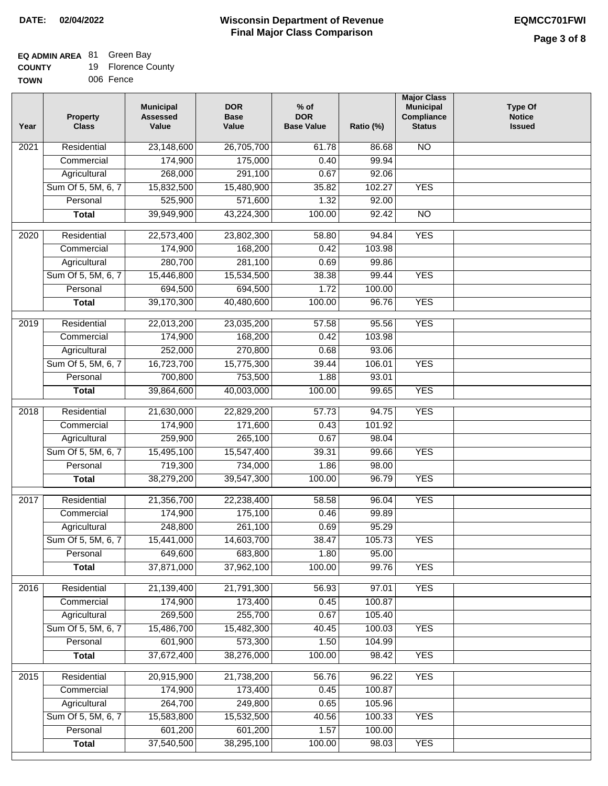# **EQ ADMIN AREA** 81 Green Bay

| <b>COUNTY</b> |  | <b>Florence County</b> |  |
|---------------|--|------------------------|--|
|---------------|--|------------------------|--|

**TOWN** 006 Fence

| Year              | Property<br><b>Class</b> | <b>Municipal</b><br><b>Assessed</b><br>Value | <b>DOR</b><br><b>Base</b><br>Value | $%$ of<br><b>DOR</b><br><b>Base Value</b> | Ratio (%) | <b>Major Class</b><br><b>Municipal</b><br>Compliance<br><b>Status</b> | <b>Type Of</b><br><b>Notice</b><br><b>Issued</b> |
|-------------------|--------------------------|----------------------------------------------|------------------------------------|-------------------------------------------|-----------|-----------------------------------------------------------------------|--------------------------------------------------|
| $\overline{202}1$ | Residential              | 23,148,600                                   | 26,705,700                         | 61.78                                     | 86.68     | N <sub>O</sub>                                                        |                                                  |
|                   | Commercial               | 174,900                                      | 175,000                            | 0.40                                      | 99.94     |                                                                       |                                                  |
|                   | Agricultural             | 268,000                                      | 291,100                            | 0.67                                      | 92.06     |                                                                       |                                                  |
|                   | Sum Of 5, 5M, 6, 7       | 15,832,500                                   | 15,480,900                         | 35.82                                     | 102.27    | <b>YES</b>                                                            |                                                  |
|                   | Personal                 | 525,900                                      | 571,600                            | 1.32                                      | 92.00     |                                                                       |                                                  |
|                   | <b>Total</b>             | 39,949,900                                   | 43,224,300                         | 100.00                                    | 92.42     | $\overline{NO}$                                                       |                                                  |
| 2020              | Residential              | 22,573,400                                   | 23,802,300                         | 58.80                                     | 94.84     | <b>YES</b>                                                            |                                                  |
|                   | Commercial               | 174,900                                      | 168,200                            | 0.42                                      | 103.98    |                                                                       |                                                  |
|                   | Agricultural             | 280,700                                      | 281,100                            | 0.69                                      | 99.86     |                                                                       |                                                  |
|                   | Sum Of 5, 5M, 6, 7       | 15,446,800                                   | 15,534,500                         | 38.38                                     | 99.44     | <b>YES</b>                                                            |                                                  |
|                   | Personal                 | 694,500                                      | 694,500                            | 1.72                                      | 100.00    |                                                                       |                                                  |
|                   | <b>Total</b>             | 39,170,300                                   | 40,480,600                         | 100.00                                    | 96.76     | <b>YES</b>                                                            |                                                  |
| 2019              | Residential              | 22,013,200                                   | 23,035,200                         | 57.58                                     | 95.56     | <b>YES</b>                                                            |                                                  |
|                   | Commercial               | 174,900                                      | 168,200                            | 0.42                                      | 103.98    |                                                                       |                                                  |
|                   | Agricultural             | 252,000                                      | 270,800                            | 0.68                                      | 93.06     |                                                                       |                                                  |
|                   | Sum Of 5, 5M, 6, 7       | 16,723,700                                   | 15,775,300                         | 39.44                                     | 106.01    | <b>YES</b>                                                            |                                                  |
|                   | Personal                 | 700,800                                      | 753,500                            | 1.88                                      | 93.01     |                                                                       |                                                  |
|                   | <b>Total</b>             | 39,864,600                                   | 40,003,000                         | 100.00                                    | 99.65     | <b>YES</b>                                                            |                                                  |
|                   |                          |                                              |                                    |                                           |           |                                                                       |                                                  |
| 2018              | Residential              | 21,630,000                                   | 22,829,200                         | 57.73                                     | 94.75     | <b>YES</b>                                                            |                                                  |
|                   | Commercial               | 174,900                                      | 171,600                            | 0.43                                      | 101.92    |                                                                       |                                                  |
|                   | Agricultural             | 259,900                                      | 265,100                            | 0.67                                      | 98.04     |                                                                       |                                                  |
|                   | Sum Of 5, 5M, 6, 7       | 15,495,100                                   | 15,547,400                         | 39.31                                     | 99.66     | <b>YES</b>                                                            |                                                  |
|                   | Personal                 | 719,300                                      | 734,000                            | 1.86                                      | 98.00     |                                                                       |                                                  |
|                   | <b>Total</b>             | 38,279,200                                   | 39,547,300                         | 100.00                                    | 96.79     | <b>YES</b>                                                            |                                                  |
| 2017              | Residential              | 21,356,700                                   | 22,238,400                         | 58.58                                     | 96.04     | <b>YES</b>                                                            |                                                  |
|                   | Commercial               | 174,900                                      | 175,100                            | 0.46                                      | 99.89     |                                                                       |                                                  |
|                   | Agricultural             | 248,800                                      | 261,100                            | 0.69                                      | 95.29     |                                                                       |                                                  |
|                   | Sum Of 5, 5M, 6, 7       | 15,441,000                                   | 14,603,700                         | 38.47                                     | 105.73    | <b>YES</b>                                                            |                                                  |
|                   | Personal                 | 649,600                                      | 683,800                            | 1.80                                      | 95.00     |                                                                       |                                                  |
|                   | <b>Total</b>             | 37,871,000                                   | 37,962,100                         | 100.00                                    | 99.76     | <b>YES</b>                                                            |                                                  |
| 2016              | Residential              | 21,139,400                                   | 21,791,300                         | 56.93                                     | 97.01     | <b>YES</b>                                                            |                                                  |
|                   | Commercial               | 174,900                                      | 173,400                            | 0.45                                      | 100.87    |                                                                       |                                                  |
|                   | Agricultural             | 269,500                                      | 255,700                            | 0.67                                      | 105.40    |                                                                       |                                                  |
|                   | Sum Of 5, 5M, 6, 7       | 15,486,700                                   | 15,482,300                         | 40.45                                     | 100.03    | <b>YES</b>                                                            |                                                  |
|                   | Personal                 | 601,900                                      | 573,300                            | 1.50                                      | 104.99    |                                                                       |                                                  |
|                   | <b>Total</b>             | 37,672,400                                   | 38,276,000                         | 100.00                                    | 98.42     | <b>YES</b>                                                            |                                                  |
| 2015              | Residential              | 20,915,900                                   | 21,738,200                         | 56.76                                     | 96.22     | <b>YES</b>                                                            |                                                  |
|                   | Commercial               | 174,900                                      | 173,400                            | 0.45                                      | 100.87    |                                                                       |                                                  |
|                   | Agricultural             | 264,700                                      | 249,800                            | 0.65                                      | 105.96    |                                                                       |                                                  |
|                   | Sum Of 5, 5M, 6, 7       | 15,583,800                                   | 15,532,500                         | 40.56                                     | 100.33    | <b>YES</b>                                                            |                                                  |
|                   | Personal                 | 601,200                                      | 601,200                            | 1.57                                      | 100.00    |                                                                       |                                                  |
|                   | <b>Total</b>             | 37,540,500                                   | 38,295,100                         | 100.00                                    | 98.03     | <b>YES</b>                                                            |                                                  |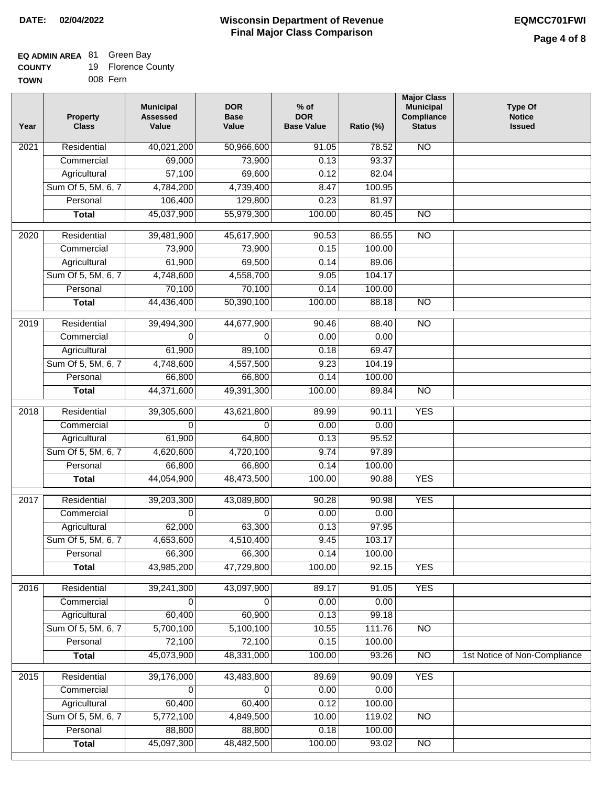## **EQ ADMIN AREA** 81 Green Bay

| <b>COUNTY</b> |  | <b>Florence County</b> |
|---------------|--|------------------------|
|---------------|--|------------------------|

**TOWN** 008 Fern

| Year              | <b>Property</b><br><b>Class</b> | <b>Municipal</b><br><b>Assessed</b><br>Value | <b>DOR</b><br><b>Base</b><br>Value | $%$ of<br><b>DOR</b><br><b>Base Value</b> | Ratio (%) | <b>Major Class</b><br><b>Municipal</b><br>Compliance<br><b>Status</b> | <b>Type Of</b><br><b>Notice</b><br><b>Issued</b> |
|-------------------|---------------------------------|----------------------------------------------|------------------------------------|-------------------------------------------|-----------|-----------------------------------------------------------------------|--------------------------------------------------|
| $\overline{202}1$ | Residential                     | 40,021,200                                   | 50,966,600                         | 91.05                                     | 78.52     | N <sub>O</sub>                                                        |                                                  |
|                   | Commercial                      | 69,000                                       | 73,900                             | 0.13                                      | 93.37     |                                                                       |                                                  |
|                   | Agricultural                    | 57,100                                       | 69,600                             | 0.12                                      | 82.04     |                                                                       |                                                  |
|                   | Sum Of 5, 5M, 6, 7              | 4,784,200                                    | 4,739,400                          | 8.47                                      | 100.95    |                                                                       |                                                  |
|                   | Personal                        | 106,400                                      | 129,800                            | 0.23                                      | 81.97     |                                                                       |                                                  |
|                   | <b>Total</b>                    | 45,037,900                                   | 55,979,300                         | 100.00                                    | 80.45     | $\overline{NO}$                                                       |                                                  |
| $\overline{2020}$ | Residential                     | 39,481,900                                   | 45,617,900                         | 90.53                                     | 86.55     | $\overline{NO}$                                                       |                                                  |
|                   | Commercial                      | 73,900                                       | 73,900                             | 0.15                                      | 100.00    |                                                                       |                                                  |
|                   | Agricultural                    | 61,900                                       | 69,500                             | 0.14                                      | 89.06     |                                                                       |                                                  |
|                   | Sum Of 5, 5M, 6, 7              | 4,748,600                                    | 4,558,700                          | 9.05                                      | 104.17    |                                                                       |                                                  |
|                   | Personal                        | 70,100                                       | 70,100                             | 0.14                                      | 100.00    |                                                                       |                                                  |
|                   | <b>Total</b>                    | 44,436,400                                   | 50,390,100                         | 100.00                                    | 88.18     | $\overline{NO}$                                                       |                                                  |
| 2019              | Residential                     | 39,494,300                                   | 44,677,900                         | 90.46                                     | 88.40     | $\overline{10}$                                                       |                                                  |
|                   | Commercial                      | $\Omega$                                     | $\Omega$                           | 0.00                                      | 0.00      |                                                                       |                                                  |
|                   | Agricultural                    | 61,900                                       | 89,100                             | 0.18                                      | 69.47     |                                                                       |                                                  |
|                   | Sum Of 5, 5M, 6, 7              | 4,748,600                                    | 4,557,500                          | 9.23                                      | 104.19    |                                                                       |                                                  |
|                   | Personal                        | 66,800                                       | 66,800                             | 0.14                                      | 100.00    |                                                                       |                                                  |
|                   | <b>Total</b>                    | 44,371,600                                   | 49,391,300                         | 100.00                                    | 89.84     | $\overline{NO}$                                                       |                                                  |
| 2018              | Residential                     | 39,305,600                                   | 43,621,800                         | 89.99                                     | 90.11     | <b>YES</b>                                                            |                                                  |
|                   | Commercial                      | 0                                            | $\Omega$                           | 0.00                                      | 0.00      |                                                                       |                                                  |
|                   | Agricultural                    | 61,900                                       | 64,800                             | 0.13                                      | 95.52     |                                                                       |                                                  |
|                   | Sum Of 5, 5M, 6, 7              | 4,620,600                                    | 4,720,100                          | 9.74                                      | 97.89     |                                                                       |                                                  |
|                   | Personal                        | 66,800                                       | 66,800                             | 0.14                                      | 100.00    |                                                                       |                                                  |
|                   | <b>Total</b>                    | 44,054,900                                   | 48,473,500                         | 100.00                                    | 90.88     | <b>YES</b>                                                            |                                                  |
| 2017              | Residential                     | 39,203,300                                   | 43,089,800                         | 90.28                                     | 90.98     | <b>YES</b>                                                            |                                                  |
|                   | Commercial                      | $\Omega$                                     | 0                                  | 0.00                                      | 0.00      |                                                                       |                                                  |
|                   | Agricultural                    | 62,000                                       | 63,300                             | 0.13                                      | 97.95     |                                                                       |                                                  |
|                   | Sum Of 5, 5M, 6, 7              | 4,653,600                                    | 4,510,400                          | 9.45                                      | 103.17    |                                                                       |                                                  |
|                   | Personal                        | 66,300                                       | 66,300                             | 0.14                                      | 100.00    |                                                                       |                                                  |
|                   | <b>Total</b>                    | 43,985,200                                   | 47,729,800                         | 100.00                                    | 92.15     | <b>YES</b>                                                            |                                                  |
| 2016              | Residential                     | 39,241,300                                   | 43,097,900                         | 89.17                                     | 91.05     | <b>YES</b>                                                            |                                                  |
|                   | Commercial                      | 0                                            | 0                                  | 0.00                                      | 0.00      |                                                                       |                                                  |
|                   | Agricultural                    | 60,400                                       | 60,900                             | 0.13                                      | 99.18     |                                                                       |                                                  |
|                   | Sum Of 5, 5M, 6, 7              | 5,700,100                                    | 5,100,100                          | 10.55                                     | 111.76    | N <sub>O</sub>                                                        |                                                  |
|                   | Personal                        | 72,100                                       | 72,100                             | 0.15                                      | 100.00    |                                                                       |                                                  |
|                   | <b>Total</b>                    | 45,073,900                                   | 48,331,000                         | 100.00                                    | 93.26     | $\overline{NO}$                                                       | 1st Notice of Non-Compliance                     |
| 2015              | Residential                     | 39,176,000                                   | 43,483,800                         | 89.69                                     | 90.09     | <b>YES</b>                                                            |                                                  |
|                   | Commercial                      | 0                                            | $\Omega$                           | 0.00                                      | 0.00      |                                                                       |                                                  |
|                   | Agricultural                    | 60,400                                       | 60,400                             | 0.12                                      | 100.00    |                                                                       |                                                  |
|                   | Sum Of 5, 5M, 6, 7              | 5,772,100                                    | 4,849,500                          | 10.00                                     | 119.02    | $\overline{NO}$                                                       |                                                  |
|                   | Personal                        | 88,800                                       | 88,800                             | 0.18                                      | 100.00    |                                                                       |                                                  |
|                   | <b>Total</b>                    | 45,097,300                                   | 48,482,500                         | 100.00                                    | 93.02     | NO                                                                    |                                                  |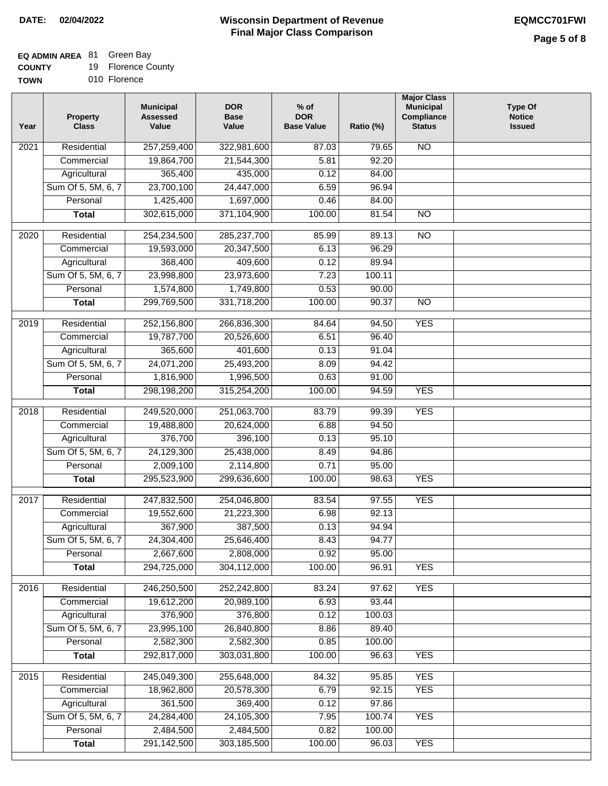# **EQ ADMIN AREA** 81 Green Bay

**COUNTY** 19 Florence County

**TOWN** 010 Florence

| Year              | <b>Property</b><br><b>Class</b> | <b>Municipal</b><br><b>Assessed</b><br>Value | <b>DOR</b><br><b>Base</b><br>Value | $%$ of<br><b>DOR</b><br><b>Base Value</b> | Ratio (%) | <b>Major Class</b><br><b>Municipal</b><br>Compliance<br><b>Status</b> | <b>Type Of</b><br><b>Notice</b><br><b>Issued</b> |
|-------------------|---------------------------------|----------------------------------------------|------------------------------------|-------------------------------------------|-----------|-----------------------------------------------------------------------|--------------------------------------------------|
| $\overline{202}1$ | Residential                     | 257,259,400                                  | 322,981,600                        | 87.03                                     | 79.65     | $\overline{NO}$                                                       |                                                  |
|                   | Commercial                      | 19,864,700                                   | 21,544,300                         | 5.81                                      | 92.20     |                                                                       |                                                  |
|                   | Agricultural                    | 365,400                                      | 435,000                            | 0.12                                      | 84.00     |                                                                       |                                                  |
|                   | Sum Of 5, 5M, 6, 7              | 23,700,100                                   | 24,447,000                         | 6.59                                      | 96.94     |                                                                       |                                                  |
|                   | Personal                        | 1,425,400                                    | 1,697,000                          | 0.46                                      | 84.00     |                                                                       |                                                  |
|                   | <b>Total</b>                    | 302,615,000                                  | 371,104,900                        | 100.00                                    | 81.54     | $\overline{NO}$                                                       |                                                  |
| 2020              | Residential                     | 254,234,500                                  | 285,237,700                        | 85.99                                     | 89.13     | $\overline{NO}$                                                       |                                                  |
|                   | Commercial                      | 19,593,000                                   | 20,347,500                         | 6.13                                      | 96.29     |                                                                       |                                                  |
|                   | Agricultural                    | 368,400                                      | 409,600                            | 0.12                                      | 89.94     |                                                                       |                                                  |
|                   | Sum Of 5, 5M, 6, 7              | 23,998,800                                   | 23,973,600                         | 7.23                                      | 100.11    |                                                                       |                                                  |
|                   | Personal                        | 1,574,800                                    | 1,749,800                          | 0.53                                      | 90.00     |                                                                       |                                                  |
|                   | <b>Total</b>                    | 299,769,500                                  | 331,718,200                        | 100.00                                    | 90.37     | $\overline{NO}$                                                       |                                                  |
|                   |                                 |                                              |                                    |                                           |           |                                                                       |                                                  |
| 2019              | Residential                     | 252,156,800                                  | 266,836,300                        | 84.64                                     | 94.50     | <b>YES</b>                                                            |                                                  |
|                   | Commercial                      | 19,787,700                                   | 20,526,600                         | 6.51                                      | 96.40     |                                                                       |                                                  |
|                   | Agricultural                    | 365,600                                      | 401,600                            | 0.13                                      | 91.04     |                                                                       |                                                  |
|                   | Sum Of 5, 5M, 6, 7              | 24,071,200                                   | 25,493,200                         | 8.09                                      | 94.42     |                                                                       |                                                  |
|                   | Personal                        | 1,816,900                                    | 1,996,500                          | 0.63                                      | 91.00     |                                                                       |                                                  |
|                   | <b>Total</b>                    | 298,198,200                                  | 315,254,200                        | 100.00                                    | 94.59     | <b>YES</b>                                                            |                                                  |
| 2018              | Residential                     | 249,520,000                                  | 251,063,700                        | 83.79                                     | 99.39     | <b>YES</b>                                                            |                                                  |
|                   | Commercial                      | 19,488,800                                   | 20,624,000                         | 6.88                                      | 94.50     |                                                                       |                                                  |
|                   | Agricultural                    | 376,700                                      | 396,100                            | 0.13                                      | 95.10     |                                                                       |                                                  |
|                   | Sum Of 5, 5M, 6, 7              | 24,129,300                                   | 25,438,000                         | 8.49                                      | 94.86     |                                                                       |                                                  |
|                   | Personal                        | 2,009,100                                    | 2,114,800                          | 0.71                                      | 95.00     |                                                                       |                                                  |
|                   | <b>Total</b>                    | 295,523,900                                  | 299,636,600                        | 100.00                                    | 98.63     | <b>YES</b>                                                            |                                                  |
| $\overline{2017}$ | Residential                     | 247,832,500                                  | 254,046,800                        | 83.54                                     | 97.55     | <b>YES</b>                                                            |                                                  |
|                   | Commercial                      | 19,552,600                                   | 21,223,300                         | 6.98                                      | 92.13     |                                                                       |                                                  |
|                   | Agricultural                    | 367,900                                      | 387,500                            | 0.13                                      | 94.94     |                                                                       |                                                  |
|                   | Sum Of 5, 5M, 6, 7              | 24,304,400                                   | 25,646,400                         | 8.43                                      | 94.77     |                                                                       |                                                  |
|                   | Personal                        | 2,667,600                                    | 2,808,000                          | 0.92                                      | 95.00     |                                                                       |                                                  |
|                   | <b>Total</b>                    | 294,725,000                                  | 304,112,000                        | 100.00                                    | 96.91     | <b>YES</b>                                                            |                                                  |
| 2016              | Residential                     | 246,250,500                                  | 252,242,800                        | 83.24                                     | 97.62     | <b>YES</b>                                                            |                                                  |
|                   | Commercial                      | 19,612,200                                   | 20,989,100                         | 6.93                                      | 93.44     |                                                                       |                                                  |
|                   | Agricultural                    | 376,900                                      | 376,800                            | 0.12                                      | 100.03    |                                                                       |                                                  |
|                   | Sum Of 5, 5M, 6, 7              | 23,995,100                                   | 26,840,800                         | 8.86                                      | 89.40     |                                                                       |                                                  |
|                   | Personal                        | 2,582,300                                    | 2,582,300                          | 0.85                                      | 100.00    |                                                                       |                                                  |
|                   | <b>Total</b>                    | 292,817,000                                  | 303,031,800                        | 100.00                                    | 96.63     | <b>YES</b>                                                            |                                                  |
| 2015              | Residential                     | 245,049,300                                  | 255,648,000                        | 84.32                                     | 95.85     | <b>YES</b>                                                            |                                                  |
|                   | Commercial                      | 18,962,800                                   | 20,578,300                         | 6.79                                      | 92.15     | <b>YES</b>                                                            |                                                  |
|                   | Agricultural                    | 361,500                                      | 369,400                            | 0.12                                      | 97.86     |                                                                       |                                                  |
|                   | Sum Of 5, 5M, 6, 7              | 24,284,400                                   | 24,105,300                         | 7.95                                      | 100.74    | <b>YES</b>                                                            |                                                  |
|                   | Personal                        | 2,484,500                                    | 2,484,500                          | 0.82                                      | 100.00    |                                                                       |                                                  |
|                   | <b>Total</b>                    | 291,142,500                                  | 303,185,500                        | 100.00                                    | 96.03     | <b>YES</b>                                                            |                                                  |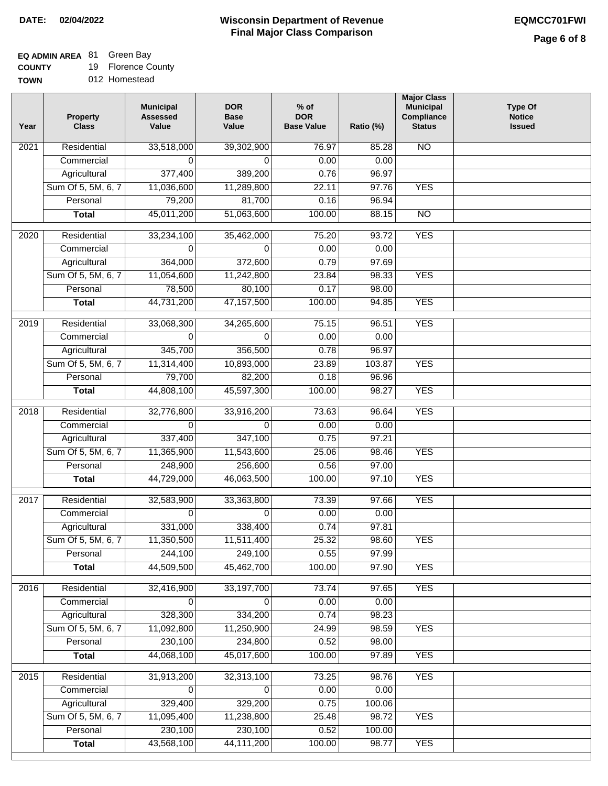## **EQ ADMIN AREA** 81 Green Bay

**COUNTY** 19 Florence County

| <b>TOWN</b> | 012 Homestead |
|-------------|---------------|
|             |               |

| Year | <b>Property</b><br><b>Class</b> | <b>Municipal</b><br><b>Assessed</b><br>Value | <b>DOR</b><br><b>Base</b><br>Value | $%$ of<br><b>DOR</b><br><b>Base Value</b> | Ratio (%) | <b>Major Class</b><br><b>Municipal</b><br>Compliance<br><b>Status</b> | <b>Type Of</b><br><b>Notice</b><br><b>Issued</b> |
|------|---------------------------------|----------------------------------------------|------------------------------------|-------------------------------------------|-----------|-----------------------------------------------------------------------|--------------------------------------------------|
| 2021 | Residential                     | 33,518,000                                   | 39,302,900                         | 76.97                                     | 85.28     | <b>NO</b>                                                             |                                                  |
|      | Commercial                      | 0                                            | 0                                  | 0.00                                      | 0.00      |                                                                       |                                                  |
|      | Agricultural                    | 377,400                                      | 389,200                            | 0.76                                      | 96.97     |                                                                       |                                                  |
|      | Sum Of 5, 5M, 6, 7              | 11,036,600                                   | 11,289,800                         | 22.11                                     | 97.76     | <b>YES</b>                                                            |                                                  |
|      | Personal                        | 79,200                                       | 81,700                             | 0.16                                      | 96.94     |                                                                       |                                                  |
|      | <b>Total</b>                    | 45,011,200                                   | 51,063,600                         | 100.00                                    | 88.15     | $\overline{NO}$                                                       |                                                  |
| 2020 | Residential                     | 33,234,100                                   | 35,462,000                         | 75.20                                     | 93.72     | <b>YES</b>                                                            |                                                  |
|      | Commercial                      | 0                                            | 0                                  | 0.00                                      | 0.00      |                                                                       |                                                  |
|      | Agricultural                    | 364,000                                      | 372,600                            | 0.79                                      | 97.69     |                                                                       |                                                  |
|      | Sum Of 5, 5M, 6, 7              | 11,054,600                                   | 11,242,800                         | 23.84                                     | 98.33     | <b>YES</b>                                                            |                                                  |
|      | Personal                        | 78,500                                       | 80,100                             | 0.17                                      | 98.00     |                                                                       |                                                  |
|      | <b>Total</b>                    | 44,731,200                                   | 47, 157, 500                       | 100.00                                    | 94.85     | <b>YES</b>                                                            |                                                  |
| 2019 | Residential                     | 33,068,300                                   | 34,265,600                         | 75.15                                     | 96.51     | <b>YES</b>                                                            |                                                  |
|      | Commercial                      | $\Omega$                                     | $\Omega$                           | 0.00                                      | 0.00      |                                                                       |                                                  |
|      | Agricultural                    | 345,700                                      | 356,500                            | 0.78                                      | 96.97     |                                                                       |                                                  |
|      | Sum Of 5, 5M, 6, 7              | 11,314,400                                   | 10,893,000                         | 23.89                                     | 103.87    | <b>YES</b>                                                            |                                                  |
|      | Personal                        | 79,700                                       | 82,200                             | 0.18                                      | 96.96     |                                                                       |                                                  |
|      | <b>Total</b>                    | 44,808,100                                   | 45,597,300                         | 100.00                                    | 98.27     | <b>YES</b>                                                            |                                                  |
| 2018 | Residential                     | 32,776,800                                   | 33,916,200                         | 73.63                                     | 96.64     | <b>YES</b>                                                            |                                                  |
|      | Commercial                      | $\Omega$                                     | $\Omega$                           | 0.00                                      | 0.00      |                                                                       |                                                  |
|      | Agricultural                    | 337,400                                      | 347,100                            | 0.75                                      | 97.21     |                                                                       |                                                  |
|      | Sum Of 5, 5M, 6, 7              | 11,365,900                                   | 11,543,600                         | 25.06                                     | 98.46     | <b>YES</b>                                                            |                                                  |
|      | Personal                        | 248,900                                      | 256,600                            | 0.56                                      | 97.00     |                                                                       |                                                  |
|      | <b>Total</b>                    | 44,729,000                                   | 46,063,500                         | 100.00                                    | 97.10     | <b>YES</b>                                                            |                                                  |
| 2017 | Residential                     | 32,583,900                                   | 33,363,800                         | 73.39                                     | 97.66     | <b>YES</b>                                                            |                                                  |
|      | Commercial                      | $\Omega$                                     | 0                                  | 0.00                                      | 0.00      |                                                                       |                                                  |
|      | Agricultural                    | 331,000                                      | 338,400                            | 0.74                                      | 97.81     |                                                                       |                                                  |
|      | Sum Of 5, 5M, 6, 7              | 11,350,500                                   | 11,511,400                         | 25.32                                     | 98.60     | <b>YES</b>                                                            |                                                  |
|      | Personal                        | 244,100                                      | 249,100                            | 0.55                                      | 97.99     |                                                                       |                                                  |
|      | <b>Total</b>                    | 44,509,500                                   | 45,462,700                         | 100.00                                    | 97.90     | <b>YES</b>                                                            |                                                  |
| 2016 | Residential                     | 32,416,900                                   | 33, 197, 700                       | 73.74                                     | 97.65     | <b>YES</b>                                                            |                                                  |
|      | Commercial                      | 0                                            | 0                                  | 0.00                                      | 0.00      |                                                                       |                                                  |
|      | Agricultural                    | 328,300                                      | 334,200                            | 0.74                                      | 98.23     |                                                                       |                                                  |
|      | Sum Of 5, 5M, 6, 7              | 11,092,800                                   | 11,250,900                         | 24.99                                     | 98.59     | <b>YES</b>                                                            |                                                  |
|      | Personal                        | 230,100                                      | 234,800                            | 0.52                                      | 98.00     |                                                                       |                                                  |
|      | <b>Total</b>                    | 44,068,100                                   | 45,017,600                         | 100.00                                    | 97.89     | <b>YES</b>                                                            |                                                  |
| 2015 | Residential                     | 31,913,200                                   | 32,313,100                         | 73.25                                     | 98.76     | <b>YES</b>                                                            |                                                  |
|      | Commercial                      | 0                                            | 0                                  | 0.00                                      | 0.00      |                                                                       |                                                  |
|      | Agricultural                    | 329,400                                      | 329,200                            | 0.75                                      | 100.06    |                                                                       |                                                  |
|      | Sum Of 5, 5M, 6, 7              | 11,095,400                                   | 11,238,800                         | 25.48                                     | 98.72     | <b>YES</b>                                                            |                                                  |
|      | Personal                        | 230,100                                      | 230,100                            | 0.52                                      | 100.00    |                                                                       |                                                  |
|      | <b>Total</b>                    | 43,568,100                                   | 44, 111, 200                       | 100.00                                    | 98.77     | <b>YES</b>                                                            |                                                  |
|      |                                 |                                              |                                    |                                           |           |                                                                       |                                                  |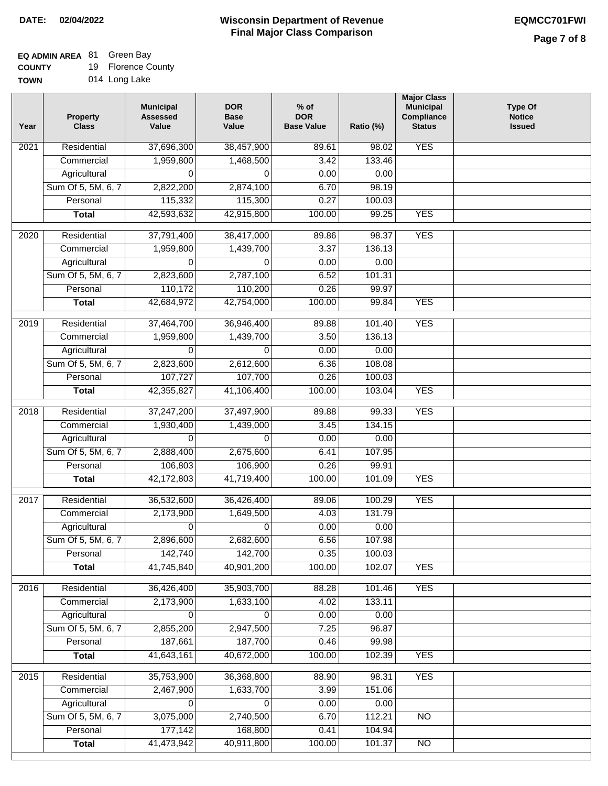## **EQ ADMIN AREA** 81 Green Bay

**COUNTY** 19 Florence County

| <b>TOWN</b> | 014 Long Lake |
|-------------|---------------|
|-------------|---------------|

| Year             | <b>Property</b><br><b>Class</b> | <b>Municipal</b><br><b>Assessed</b><br>Value | <b>DOR</b><br><b>Base</b><br>Value | $%$ of<br><b>DOR</b><br><b>Base Value</b> | Ratio (%) | <b>Major Class</b><br><b>Municipal</b><br>Compliance<br><b>Status</b> | <b>Type Of</b><br><b>Notice</b><br><b>Issued</b> |
|------------------|---------------------------------|----------------------------------------------|------------------------------------|-------------------------------------------|-----------|-----------------------------------------------------------------------|--------------------------------------------------|
| 2021             | Residential                     | 37,696,300                                   | 38,457,900                         | 89.61                                     | 98.02     | <b>YES</b>                                                            |                                                  |
|                  | Commercial                      | 1,959,800                                    | 1,468,500                          | 3.42                                      | 133.46    |                                                                       |                                                  |
|                  | Agricultural                    | 0                                            | 0                                  | 0.00                                      | 0.00      |                                                                       |                                                  |
|                  | Sum Of 5, 5M, 6, 7              | 2,822,200                                    | 2,874,100                          | 6.70                                      | 98.19     |                                                                       |                                                  |
|                  | Personal                        | 115,332                                      | 115,300                            | 0.27                                      | 100.03    |                                                                       |                                                  |
|                  | <b>Total</b>                    | 42,593,632                                   | 42,915,800                         | 100.00                                    | 99.25     | <b>YES</b>                                                            |                                                  |
| 2020             | Residential                     | 37,791,400                                   | 38,417,000                         | 89.86                                     | 98.37     | <b>YES</b>                                                            |                                                  |
|                  | Commercial                      | 1,959,800                                    | 1,439,700                          | 3.37                                      | 136.13    |                                                                       |                                                  |
|                  | Agricultural                    | 0                                            | 0                                  | 0.00                                      | 0.00      |                                                                       |                                                  |
|                  | Sum Of 5, 5M, 6, 7              | 2,823,600                                    | 2,787,100                          | 6.52                                      | 101.31    |                                                                       |                                                  |
|                  | Personal                        | 110,172                                      | 110,200                            | 0.26                                      | 99.97     |                                                                       |                                                  |
|                  | <b>Total</b>                    | 42,684,972                                   | 42,754,000                         | 100.00                                    | 99.84     | <b>YES</b>                                                            |                                                  |
|                  |                                 |                                              |                                    |                                           |           |                                                                       |                                                  |
| $\frac{1}{2019}$ | Residential                     | 37,464,700                                   | 36,946,400                         | 89.88                                     | 101.40    | <b>YES</b>                                                            |                                                  |
|                  | Commercial                      | 1,959,800                                    | 1,439,700                          | 3.50                                      | 136.13    |                                                                       |                                                  |
|                  | Agricultural                    | $\Omega$                                     | $\Omega$                           | 0.00                                      | 0.00      |                                                                       |                                                  |
|                  | Sum Of 5, 5M, 6, 7              | 2,823,600                                    | 2,612,600                          | 6.36                                      | 108.08    |                                                                       |                                                  |
|                  | Personal                        | 107,727                                      | 107,700                            | 0.26                                      | 100.03    |                                                                       |                                                  |
|                  | <b>Total</b>                    | 42,355,827                                   | 41,106,400                         | 100.00                                    | 103.04    | <b>YES</b>                                                            |                                                  |
| 2018             | Residential                     | 37,247,200                                   | 37,497,900                         | 89.88                                     | 99.33     | <b>YES</b>                                                            |                                                  |
|                  | Commercial                      | 1,930,400                                    | 1,439,000                          | 3.45                                      | 134.15    |                                                                       |                                                  |
|                  | Agricultural                    | $\Omega$                                     | $\Omega$                           | 0.00                                      | 0.00      |                                                                       |                                                  |
|                  | Sum Of 5, 5M, 6, 7              | 2,888,400                                    | 2,675,600                          | 6.41                                      | 107.95    |                                                                       |                                                  |
|                  | Personal                        | 106,803                                      | 106,900                            | 0.26                                      | 99.91     |                                                                       |                                                  |
|                  | <b>Total</b>                    | 42,172,803                                   | 41,719,400                         | 100.00                                    | 101.09    | <b>YES</b>                                                            |                                                  |
| 2017             | Residential                     | 36,532,600                                   | 36,426,400                         | 89.06                                     | 100.29    | <b>YES</b>                                                            |                                                  |
|                  | Commercial                      | 2,173,900                                    | 1,649,500                          | 4.03                                      | 131.79    |                                                                       |                                                  |
|                  | Agricultural                    | 0                                            | 0                                  | 0.00                                      | 0.00      |                                                                       |                                                  |
|                  | Sum Of 5, 5M, 6, 7              | 2,896,600                                    | 2,682,600                          | 6.56                                      | 107.98    |                                                                       |                                                  |
|                  | Personal                        | 142,740                                      | 142,700                            | 0.35                                      | 100.03    |                                                                       |                                                  |
|                  | <b>Total</b>                    | 41,745,840                                   | 40,901,200                         | 100.00                                    | 102.07    | <b>YES</b>                                                            |                                                  |
| 2016             | Residential                     | 36,426,400                                   | 35,903,700                         | 88.28                                     | 101.46    | <b>YES</b>                                                            |                                                  |
|                  | Commercial                      | 2,173,900                                    | 1,633,100                          | 4.02                                      | 133.11    |                                                                       |                                                  |
|                  | Agricultural                    | 0                                            | 0                                  | 0.00                                      | 0.00      |                                                                       |                                                  |
|                  | Sum Of 5, 5M, 6, 7              | 2,855,200                                    | 2,947,500                          | 7.25                                      | 96.87     |                                                                       |                                                  |
|                  | Personal                        | 187,661                                      | 187,700                            | 0.46                                      | 99.98     |                                                                       |                                                  |
|                  | <b>Total</b>                    | 41,643,161                                   | 40,672,000                         | 100.00                                    | 102.39    | <b>YES</b>                                                            |                                                  |
| 2015             | Residential                     | 35,753,900                                   | 36,368,800                         | 88.90                                     | 98.31     | <b>YES</b>                                                            |                                                  |
|                  | Commercial                      | 2,467,900                                    | 1,633,700                          | 3.99                                      | 151.06    |                                                                       |                                                  |
|                  | Agricultural                    | 0                                            | 0                                  | 0.00                                      | 0.00      |                                                                       |                                                  |
|                  | Sum Of 5, 5M, 6, 7              | 3,075,000                                    | 2,740,500                          | 6.70                                      | 112.21    | <b>NO</b>                                                             |                                                  |
|                  | Personal                        | 177,142                                      | 168,800                            | 0.41                                      | 104.94    |                                                                       |                                                  |
|                  | <b>Total</b>                    | 41,473,942                                   | 40,911,800                         | 100.00                                    | 101.37    | N <sub>O</sub>                                                        |                                                  |